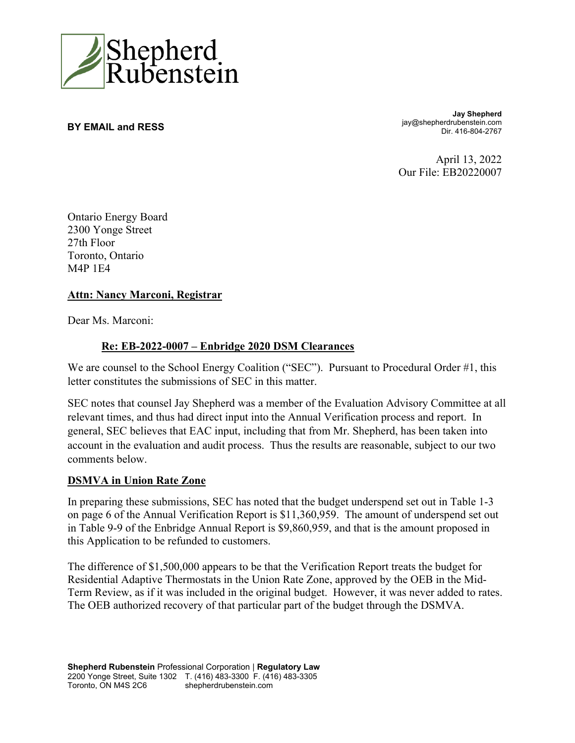

**BY EMAIL and RESS** 

**Jay Shepherd** jay@shepherdrubenstein.com Dir. 416-804-2767

April 13, 2022 Our File: EB20220007

Ontario Energy Board 2300 Yonge Street 27th Floor Toronto, Ontario M4P 1E4

### **Attn: Nancy Marconi, Registrar**

Dear Ms. Marconi:

### **Re: EB-2022-0007 – Enbridge 2020 DSM Clearances**

We are counsel to the School Energy Coalition ("SEC"). Pursuant to Procedural Order #1, this letter constitutes the submissions of SEC in this matter.

SEC notes that counsel Jay Shepherd was a member of the Evaluation Advisory Committee at all relevant times, and thus had direct input into the Annual Verification process and report. In general, SEC believes that EAC input, including that from Mr. Shepherd, has been taken into account in the evaluation and audit process. Thus the results are reasonable, subject to our two comments below.

### **DSMVA in Union Rate Zone**

In preparing these submissions, SEC has noted that the budget underspend set out in Table 1-3 on page 6 of the Annual Verification Report is \$11,360,959. The amount of underspend set out in Table 9-9 of the Enbridge Annual Report is \$9,860,959, and that is the amount proposed in this Application to be refunded to customers.

The difference of \$1,500,000 appears to be that the Verification Report treats the budget for Residential Adaptive Thermostats in the Union Rate Zone, approved by the OEB in the Mid-Term Review, as if it was included in the original budget. However, it was never added to rates. The OEB authorized recovery of that particular part of the budget through the DSMVA.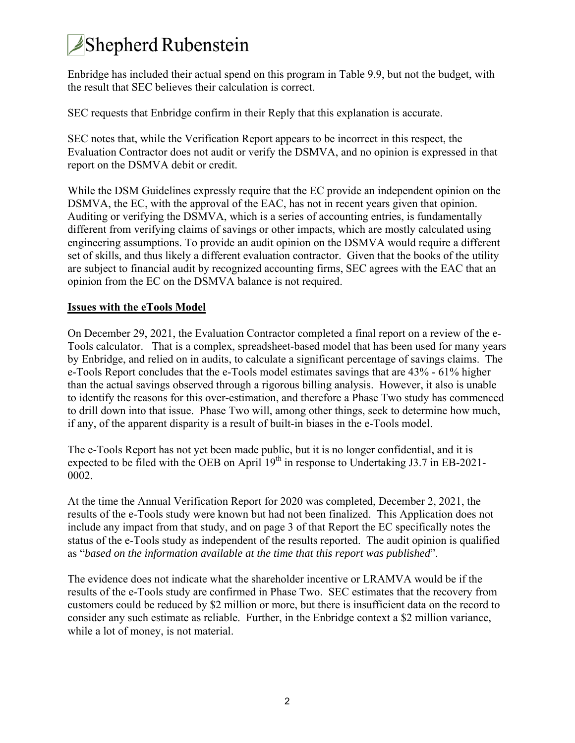# Shepherd Rubenstein

Enbridge has included their actual spend on this program in Table 9.9, but not the budget, with the result that SEC believes their calculation is correct.

SEC requests that Enbridge confirm in their Reply that this explanation is accurate.

SEC notes that, while the Verification Report appears to be incorrect in this respect, the Evaluation Contractor does not audit or verify the DSMVA, and no opinion is expressed in that report on the DSMVA debit or credit.

While the DSM Guidelines expressly require that the EC provide an independent opinion on the DSMVA, the EC, with the approval of the EAC, has not in recent years given that opinion. Auditing or verifying the DSMVA, which is a series of accounting entries, is fundamentally different from verifying claims of savings or other impacts, which are mostly calculated using engineering assumptions. To provide an audit opinion on the DSMVA would require a different set of skills, and thus likely a different evaluation contractor. Given that the books of the utility are subject to financial audit by recognized accounting firms, SEC agrees with the EAC that an opinion from the EC on the DSMVA balance is not required.

### **Issues with the eTools Model**

On December 29, 2021, the Evaluation Contractor completed a final report on a review of the e-Tools calculator. That is a complex, spreadsheet-based model that has been used for many years by Enbridge, and relied on in audits, to calculate a significant percentage of savings claims. The e-Tools Report concludes that the e-Tools model estimates savings that are 43% - 61% higher than the actual savings observed through a rigorous billing analysis. However, it also is unable to identify the reasons for this over-estimation, and therefore a Phase Two study has commenced to drill down into that issue. Phase Two will, among other things, seek to determine how much, if any, of the apparent disparity is a result of built-in biases in the e-Tools model.

The e-Tools Report has not yet been made public, but it is no longer confidential, and it is expected to be filed with the OEB on April  $19<sup>th</sup>$  in response to Undertaking J3.7 in EB-2021-0002.

At the time the Annual Verification Report for 2020 was completed, December 2, 2021, the results of the e-Tools study were known but had not been finalized. This Application does not include any impact from that study, and on page 3 of that Report the EC specifically notes the status of the e-Tools study as independent of the results reported. The audit opinion is qualified as "*based on the information available at the time that this report was published*".

The evidence does not indicate what the shareholder incentive or LRAMVA would be if the results of the e-Tools study are confirmed in Phase Two. SEC estimates that the recovery from customers could be reduced by \$2 million or more, but there is insufficient data on the record to consider any such estimate as reliable. Further, in the Enbridge context a \$2 million variance, while a lot of money, is not material.